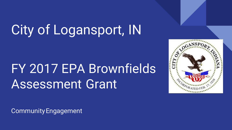# City of Logansport, IN

## FY 2017 EPA Brownfields Assessment Grant



Community Engagement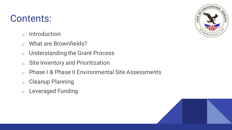## Contents:

- o Introduction
- o What are Brownfields?
- o Understanding the Grant Process
- o Site Inventory and Prioritization
- o Phase I & Phase II Environmental Site Assessments
- o Cleanup Planning
- o Leveraged Funding



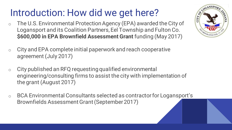## Introduction: How did we get here?

- o The U.S. Environmental Protection Agency (EPA) awarded the City of Logansport and its Coalition Partners, Eel Township and Fulton Co. **\$600,000 in EPA Brownfield Assessment Grant** funding (May 2017)
- o City and EPA complete initial paperwork and reach cooperative agreement (July 2017)
- o City published an RFQ requesting qualified environmental engineering/consulting firms to assist the city with implementation of the grant (August 2017)
- o BCA Environmental Consultants selected as contractor for Logansport's Brownfields Assessment Grant (September 2017)

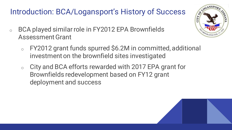### Introduction: BCA/Logansport's History of Success

- o BCA played similar role in FY2012 EPA Brownfields Assessment Grant
	- o FY2012 grant funds spurred \$6.2M in committed, additional investment on the brownfield sites investigated
	- o City and BCA efforts rewarded with 2017 EPA grant for Brownfields redevelopment based on FY12 grant deployment and success



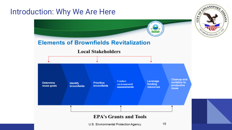#### Introduction: Why We Are Here

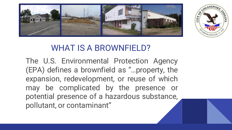



### WHAT IS A BROWNFIELD?

The U.S. Environmental Protection Agency (EPA) defines a brownfield as "…property, the expansion, redevelopment, or reuse of which may be complicated by the presence or potential presence of a hazardous substance, pollutant, or contaminant"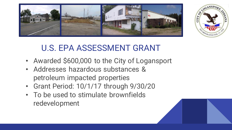



## U.S. EPA ASSESSMENT GRANT

- Awarded \$600,000 to the City of Logansport
- Addresses hazardous substances & petroleum impacted properties
- Grant Period: 10/1/17 through 9/30/20
- To be used to stimulate brownfields redevelopment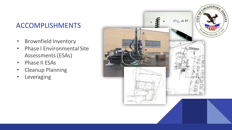#### ACCOMPLISHMENTS

- Brownfield Inventory
- Phase I Environmental Site Assessments (ESAs)
- Phase II ESAs
- Cleanup Planning
- Leveraging

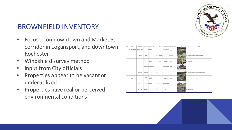#### BROWNFIELD INVENTORY

- Focused on downtown and Market St. corridor in Logansport, and downtown Rochester
- Windshield survey method
- Input from City officials
- Properties appear to be vacant or underutilized
- Properties have real or perceived environmental conditions



| w.                      | <b>SITE NAME</b>                                         | STREET ADDRESS                         | Corrent Granar                      | PARCILLE                             | PARCIL #2  | <b>TOTAL</b><br><b>SEE</b><br><b>Grand</b> | <b>MTE UNK</b>                   | ENVIRONMENTAL RECORDS                                     | <b>ACCENTING</b><br>OWMARYS                     | <b>PEGADY</b> | <b>COMMENTS</b>                                                                                                                      |
|-------------------------|----------------------------------------------------------|----------------------------------------|-------------------------------------|--------------------------------------|------------|--------------------------------------------|----------------------------------|-----------------------------------------------------------|-------------------------------------------------|---------------|--------------------------------------------------------------------------------------------------------------------------------------|
| ٠                       | Former Trebrison Automotive<br>Manufacturing Facility    | One General St - Washington<br>$_{11}$ | City Of Ligangiat                   | 09-17-56-183<br>010.000-010          |            | 12.52                                      | Undeveloped                      | Numerous records on file<br>in IDEM VFC                   | Chiatrated<br><b>CCL Petroleur</b><br>products  |               | Phone I and I funded by grant. Additional investigations funded by Eds Ely Insurance                                                 |
|                         | Former Modern Manufacturing<br>Company                   | Water Street                           | <b>SAMPLER</b>                      | 09:07:08:000-<br>011.000-010         |            | 4.44                                       | Convention                       | Numerous records on the<br>in IDEM VFC                    | Chlorinated<br><b>DCL Petroleur</b><br>products |               | Phone Land II funded by grant, Additional investigations funded by Modine                                                            |
|                         | <b>Ramer Richardson; Dry Cleaners</b>                    | <b>SOE E. Broadway</b>                 | <b>Harley, Robert E.</b>            | 09:07:08:083<br>014.000-010          |            | cos                                        | <b>Immersion</b> / On<br>Cleaner | Numerous records on the<br>in IDEM VFC                    | Chlorinated<br>yoos.                            |               | prechasion funded by bability insurance. Remediation conducted winter-Surana 2018, Additional Phase Land<br>Mage (15 unded by pract) |
| $\overline{\mathbf{u}}$ | <b>Nations C.A. Roos Building</b>                        | 608 North Street                       | C G Ross Real<br>Edate, Dr.         | on creases. Becreases<br>010.000-010 | 021000-010 | 001                                        | Commercial                       | environmental records on<br>the with \$26.00              | Chlorinated<br>VOCA Metals                      |               | Investigation funded by article funding - Investigation stated - not point etailor                                                   |
| $\mathbf{a}$            | Former Cartal's Peedess Cleaners<br><b>Carrie's West</b> | 201 Front Monet                        | 201 Front N. Uk                     | 09:17:50-078<br>021-000-010          |            | 0.12                                       | Cleaner                          | Senmental / Dry environmental records on<br>the with SDEM | monutar<br><b>VOCs</b>                          |               | Nase Land I funded by grant. Additional investigations funded by Tability Insurance                                                  |
| $\mathbf{a}$            | termer Countil Enterprises (Maduer<br>Posedul            | 218 N. Coutt Monet                     | Amstrong<br>Exhmond<br>ProgerDec US | 0912-08-003<br>022-000-010           |            | 128                                        | Industrial / Other               | environmental records on<br>the with <b>DSM</b>           | Chiatrated<br><b>VOCs</b>                       |               | Phone I and I funded by grant. Additional engine I meetigations funded by Tability Imariance                                         |
| $\overline{\mathbf{z}}$ | <b>Parmer Gas Madiser</b>                                | 1212 Blv Avenue                        | Odom, Terry                         | 09:17:48-017<br>nes nesues           |            | cos                                        | Commercial / Auto                | environmental records on<br><b>Basic Prize</b>            | Petroleum                                       |               | Phone Land II funded by mont.                                                                                                        |
| $^{21}$                 | Former Industrial Building (S&M)<br>Mampingo             | <b>GRO 3, 50h Street</b>               | Hayden, Gary J.                     | 09:17:46:326<br>001.000-010          |            | 0.77                                       | Industrial /<br>Wantouse         | <b>ALCOHOL</b>                                            | Petroleum.<br>Metals Pitels                     |               | Phone I and I funded by mont.                                                                                                        |

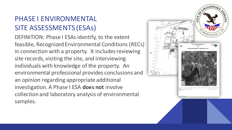#### PHASE I ENVIRONMENTAL SITE ASSESSMENTS (ESAs)

DEFINITION: Phase I ESAs identify, to the extent feasible, Recognized Environmental Conditions (RECs) in connection with a property. It includes reviewing site records, visiting the site, and interviewing individuals with knowledge of the property. An environmental professional provides conclusions and an opinion regarding appropriate additional investigation. A Phase I ESA **does not** involve collection and laboratory analysis of environmental samples.

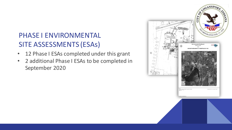#### PHASE I ENVIRONMENTAL SITE ASSESSMENTS (ESAs)

- 12 Phase I ESAs completed under this grant
- 2 additional Phase I ESAs to be completed in September 2020

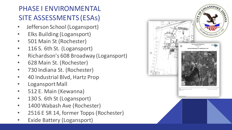#### PHASE I ENVIRONMENTAL SITE ASSESSMENTS (ESAs)

- Jefferson School (Logansport)
- Elks Building (Logansport)
- 501 Main St (Rochester)
- 116 S. 6th St. (Logansport)
- Richardson's 608 Broadway (Logansport)
- 628 Main St. (Rochester)
- 730 Indiana St. (Rochester)
- 40 Industrial Blvd, Hartz Prop
- Logansport Mall
- 512 E. Main (Kewanna)
- 130 S. 6th St (Logansport)
- 1400 Wabash Ave (Rochester)
- 2516 E SR 14, former Topps (Rochester)
- **Exide Battery (Logansport)**

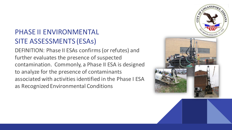#### PHASE II ENVIRONMENTAL SITE ASSESSMENTS (ESAs)

DEFINITION: Phase II ESAs confirms (or refutes) and further evaluates the presence of suspected contamination. Commonly, a Phase II ESA is designed to analyze for the presence of contaminants associated with activities identified in the Phase I ESA as Recognized Environmental Conditions

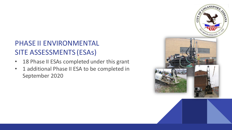#### PHASE II ENVIRONMENTAL SITE ASSESSMENTS (ESAs)

- 18 Phase II ESAs completed under this grant
- 1 additional Phase II ESA to be completed in September 2020

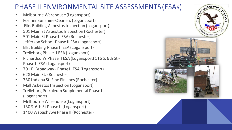#### PHASE II ENVIRONMENTAL SITE ASSESSMENTS (ESAs)

- Melbourne Warehouse (Logansport)
- Former Sunshine Cleaners (Logansport)
- Elks Building Asbestos Inspection (Logansport)
- 501 Main St Asbestos Inspection (Rochester)
- 501 Main St Phase II ESA (Rochester)
- Jefferson School Phase II ESA (Logansport)
- Elks Building Phase II ESA (Logansport)
- Trelleborg Phase II ESA (Logansport)
- Richardson's Phase II ESA (Logansport) 116 S. 6th St Phase II ESA (Logansport)
- 701 E. Broadway Phase II ESA (Logansport)
- 628 Main St. (Rochester)
- 730 Indiana St. Fine Finishes (Rochester)
- Mall Asbestos Inspection (Logansport)
- Trelleborg Petroleum Supplemental Phase II (Logansport)
- Melbourne Warehouse (Logansport)
- 130 S. 6th St Phase II (Logansport)
- 1400 Wabash Ave Phase II (Rochester)

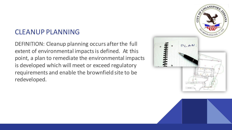#### CLEANUP PLANNING

DEFINITION: Cleanup planning occurs after the full extent of environmental impacts is defined. At this point, a plan to remediate the environmental impacts is developed which will meet or exceed regulatory requirements and enable the brownfield site to be redeveloped.

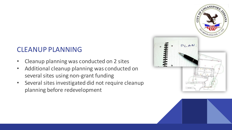#### CLEANUP PLANNING

- Cleanup planning was conducted on 2 sites
- Additional cleanup planning was conducted on several sites using non-grant funding
- Several sites investigated did not require cleanup planning before redevelopment

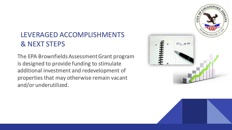#### LEVERAGED ACCOMPLISHMENTS & NEXT STEPS

The EPA Brownfields Assessment Grant program is designed to provide funding to stimulate additional investment and redevelopment of properties that may otherwise remain vacant and/or underutilized.